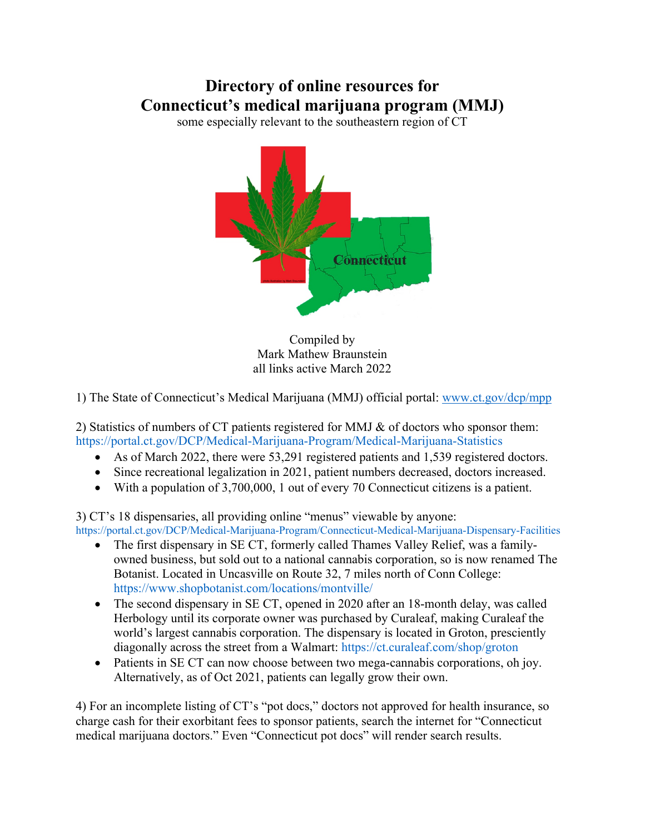## **Directory of online resources for Connecticut's medical marijuana program (MMJ)**

some especially relevant to the southeastern region of CT



Compiled by Mark Mathew Braunstein all links active March 2022

1) The State of Connecticut's Medical Marijuana (MMJ) official portal: www.ct.gov/dcp/mpp

2) Statistics of numbers of CT patients registered for MMJ & of doctors who sponsor them: https://portal.ct.gov/DCP/Medical-Marijuana-Program/Medical-Marijuana-Statistics

- As of March 2022, there were 53,291 registered patients and 1,539 registered doctors.
- Since recreational legalization in 2021, patient numbers decreased, doctors increased.
- With a population of 3,700,000, 1 out of every 70 Connecticut citizens is a patient.

3) CT's 18 dispensaries, all providing online "menus" viewable by anyone: https://portal.ct.gov/DCP/Medical-Marijuana-Program/Connecticut-Medical-Marijuana-Dispensary-Facilities

- The first dispensary in SE CT, formerly called Thames Valley Relief, was a familyowned business, but sold out to a national cannabis corporation, so is now renamed The Botanist. Located in Uncasville on Route 32, 7 miles north of Conn College: https://www.shopbotanist.com/locations/montville/
- The second dispensary in SE CT, opened in 2020 after an 18-month delay, was called Herbology until its corporate owner was purchased by Curaleaf, making Curaleaf the world's largest cannabis corporation. The dispensary is located in Groton, presciently diagonally across the street from a Walmart: https://ct.curaleaf.com/shop/groton
- Patients in SE CT can now choose between two mega-cannabis corporations, oh joy. Alternatively, as of Oct 2021, patients can legally grow their own.

4) For an incomplete listing of CT's "pot docs," doctors not approved for health insurance, so charge cash for their exorbitant fees to sponsor patients, search the internet for "Connecticut medical marijuana doctors." Even "Connecticut pot docs" will render search results.